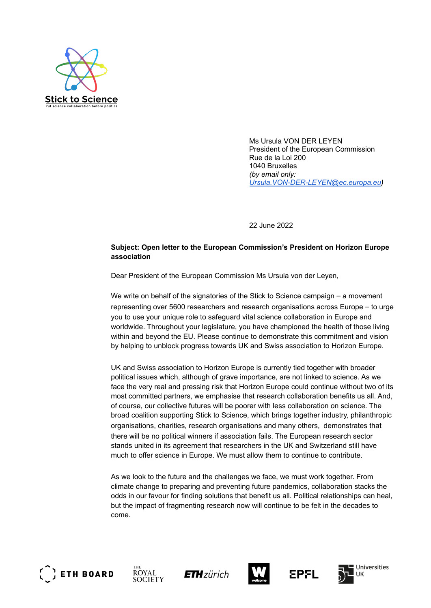

Ms Ursula VON DER LEYEN President of the European Commission Rue de la Loi 200 1040 Bruxelles *(by email only: [Ursula.VON-DER-LEYEN@ec.europa.eu](mailto:Ursula.VON-DER-LEYEN@ec.europa.eu))*

22 June 2022

## **Subject: Open letter to the European Commission's President on Horizon Europe association**

Dear President of the European Commission Ms Ursula von der Leyen,

We write on behalf of the signatories of the Stick to Science campaign – a movement representing over 5600 researchers and research organisations across Europe – to urge you to use your unique role to safeguard vital science collaboration in Europe and worldwide. Throughout your legislature, you have championed the health of those living within and beyond the EU. Please continue to demonstrate this commitment and vision by helping to unblock progress towards UK and Swiss association to Horizon Europe.

UK and Swiss association to Horizon Europe is currently tied together with broader political issues which, although of grave importance, are not linked to science. As we face the very real and pressing risk that Horizon Europe could continue without two of its most committed partners, we emphasise that research collaboration benefits us all. And, of course, our collective futures will be poorer with less collaboration on science. The broad coalition supporting Stick to Science, which brings together industry, philanthropic organisations, charities, research organisations and many others, demonstrates that there will be no political winners if association fails. The European research sector stands united in its agreement that researchers in the UK and Switzerland still have much to offer science in Europe. We must allow them to continue to contribute.

As we look to the future and the challenges we face, we must work together. From climate change to preparing and preventing future pandemics, collaboration stacks the odds in our favour for finding solutions that benefit us all. Political relationships can heal, but the impact of fragmenting research now will continue to be felt in the decades to come.